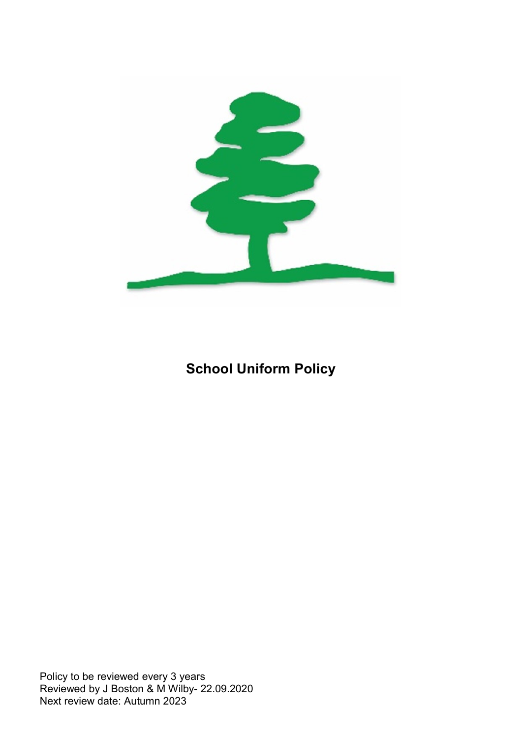

## School Uniform Policy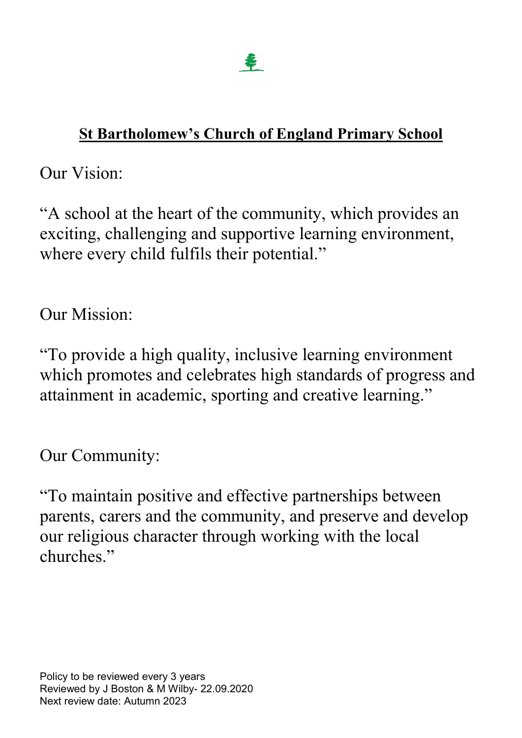# St Bartholomew's Church of England Primary School

Our Vision:

"A school at the heart of the community, which provides an exciting, challenging and supportive learning environment, where every child fulfils their potential."

Our Mission:

"To provide a high quality, inclusive learning environment which promotes and celebrates high standards of progress and attainment in academic, sporting and creative learning."

Our Community:

"To maintain positive and effective partnerships between parents, carers and the community, and preserve and develop our religious character through working with the local churches"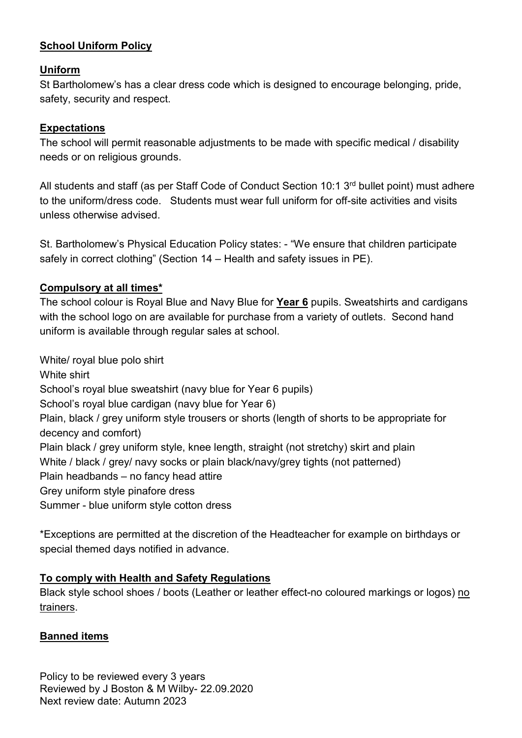## School Uniform Policy

#### Uniform

St Bartholomew's has a clear dress code which is designed to encourage belonging, pride, safety, security and respect.

#### Expectations

The school will permit reasonable adjustments to be made with specific medical / disability needs or on religious grounds.

All students and staff (as per Staff Code of Conduct Section 10:1 3<sup>rd</sup> bullet point) must adhere to the uniform/dress code. Students must wear full uniform for off-site activities and visits unless otherwise advised.

St. Bartholomew's Physical Education Policy states: - "We ensure that children participate safely in correct clothing" (Section 14 – Health and safety issues in PE).

#### Compulsory at all times\*

The school colour is Royal Blue and Navy Blue for Year 6 pupils. Sweatshirts and cardigans with the school logo on are available for purchase from a variety of outlets. Second hand uniform is available through regular sales at school.

White/ royal blue polo shirt White shirt School's royal blue sweatshirt (navy blue for Year 6 pupils) School's royal blue cardigan (navy blue for Year 6) Plain, black / grey uniform style trousers or shorts (length of shorts to be appropriate for decency and comfort) Plain black / grey uniform style, knee length, straight (not stretchy) skirt and plain White / black / grey/ navy socks or plain black/navy/grey tights (not patterned) Plain headbands – no fancy head attire Grey uniform style pinafore dress Summer - blue uniform style cotton dress

\*Exceptions are permitted at the discretion of the Headteacher for example on birthdays or special themed days notified in advance.

#### To comply with Health and Safety Regulations

Black style school shoes / boots (Leather or leather effect-no coloured markings or logos) no trainers.

#### Banned items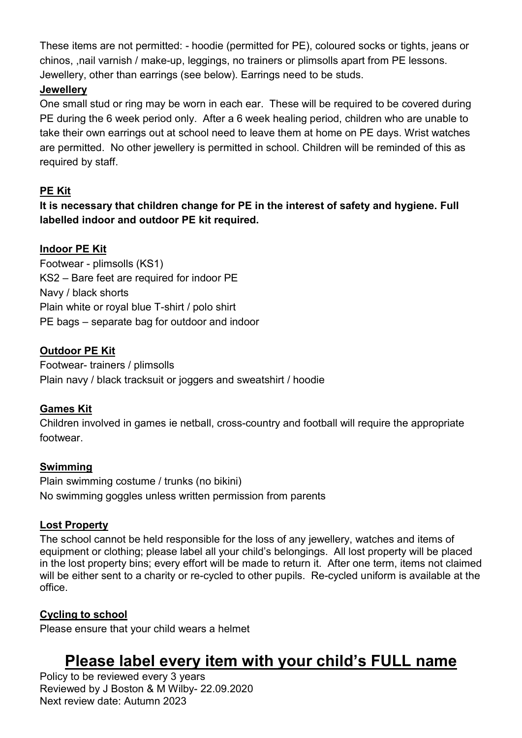These items are not permitted: - hoodie (permitted for PE), coloured socks or tights, jeans or chinos, ,nail varnish / make-up, leggings, no trainers or plimsolls apart from PE lessons. Jewellery, other than earrings (see below). Earrings need to be studs.

## **Jewellery**

One small stud or ring may be worn in each ear. These will be required to be covered during PE during the 6 week period only. After a 6 week healing period, children who are unable to take their own earrings out at school need to leave them at home on PE days. Wrist watches are permitted. No other jewellery is permitted in school. Children will be reminded of this as required by staff.

## PE Kit

It is necessary that children change for PE in the interest of safety and hygiene. Full labelled indoor and outdoor PE kit required.

## Indoor PE Kit

Footwear - plimsolls (KS1) KS2 – Bare feet are required for indoor PE Navy / black shorts Plain white or royal blue T-shirt / polo shirt PE bags – separate bag for outdoor and indoor

## Outdoor PE Kit

Footwear- trainers / plimsolls Plain navy / black tracksuit or joggers and sweatshirt / hoodie

#### Games Kit

Children involved in games ie netball, cross-country and football will require the appropriate footwear.

#### Swimming

Plain swimming costume / trunks (no bikini) No swimming goggles unless written permission from parents

## Lost Property

The school cannot be held responsible for the loss of any jewellery, watches and items of equipment or clothing; please label all your child's belongings. All lost property will be placed in the lost property bins; every effort will be made to return it. After one term, items not claimed will be either sent to a charity or re-cycled to other pupils. Re-cycled uniform is available at the office.

## Cycling to school

Please ensure that your child wears a helmet

## Please label every item with your child's FULL name